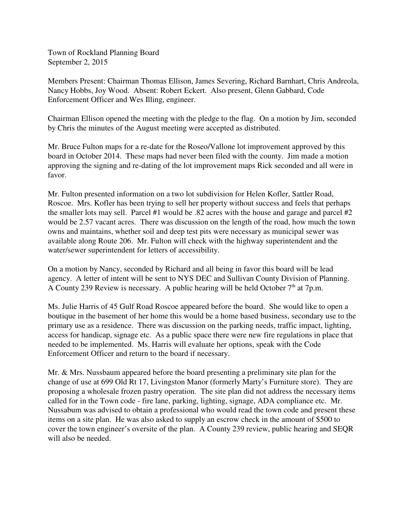Town of Rockland Planning Board September 2, 2015

Members Present: Chairman Thomas Ellison, James Severing, Richard Barnhart, Chris Andreola, Nancy Hobbs, Joy Wood. Absent: Robert Eckert. Also present, Glenn Gabbard, Code Enforcement Officer and Wes Illing, engineer.

Chairman Ellison opened the meeting with the pledge to the flag. On a motion by Jim, seconded by Chris the minutes of the August meeting were accepted as distributed.

Mr. Bruce Fulton maps for a re-date for the Roseo/Vallone lot improvement approved by this board in October 2014. These maps had never been filed with the county. Jim made a motion approving the signing and re-dating of the lot improvement maps Rick seconded and all were in favor.

Mr. Fulton presented information on a two lot subdivision for Helen Kofler, Sattler Road, Roscoe. Mrs. Kofler has been trying to sell her property without success and feels that perhaps the smaller lots may sell. Parcel #1 would be .82 acres with the house and garage and parcel #2 would be 2.57 vacant acres. There was discussion on the length of the road, how much the town owns and maintains, whether soil and deep test pits were necessary as municipal sewer was available along Route 206. Mr. Fulton will check with the highway superintendent and the water/sewer superintendent for letters of accessibility.

On a motion by Nancy, seconded by Richard and all being in favor this board will be lead agency. A letter of intent will be sent to NYS DEC and Sullivan County Division of Planning. A County 239 Review is necessary. A public hearing will be held October  $7<sup>th</sup>$  at 7p.m.

Ms. Julie Harris of 45 Gulf Road Roscoe appeared before the board. She would like to open a boutique in the basement of her home this would be a home based business, secondary use to the primary use as a residence. There was discussion on the parking needs, traffic impact, lighting, access for handicap, signage etc. As a public space there were new fire regulations in place that needed to be implemented. Ms. Harris will evaluate her options, speak with the Code Enforcement Officer and return to the board if necessary.

Mr. & Mrs. Nussbaum appeared before the board presenting a preliminary site plan for the change of use at 699 Old Rt 17, Livingston Manor (formerly Marty's Furniture store). They are proposing a wholesale frozen pastry operation. The site plan did not address the necessary items called for in the Town code - fire lane, parking, lighting, signage, ADA compliance etc. Mr. Nussabum was advised to obtain a professional who would read the town code and present these items on a site plan. He was also asked to supply an escrow check in the amount of \$500 to cover the town engineer's oversite of the plan. A County 239 review, public hearing and SEQR will also be needed.